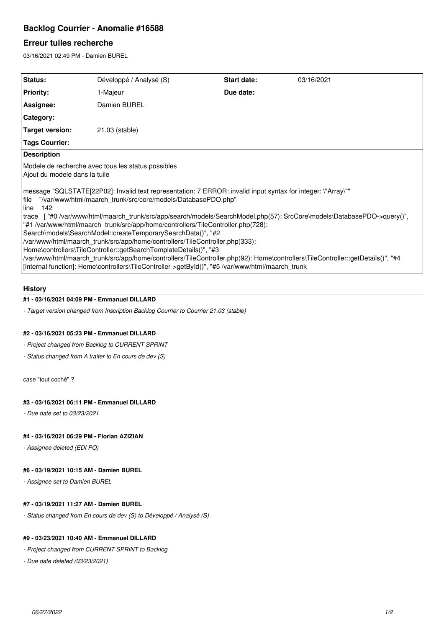# **Backlog Courrier - Anomalie #16588**

# **Erreur tuiles recherche**

03/16/2021 02:49 PM - Damien BUREL

| Status:                                                                                                                                                                                                                             | Développé / Analysé (S) | Start date: | 03/16/2021 |
|-------------------------------------------------------------------------------------------------------------------------------------------------------------------------------------------------------------------------------------|-------------------------|-------------|------------|
| <b>Priority:</b>                                                                                                                                                                                                                    | 1-Majeur                | Due date:   |            |
| Assignee:                                                                                                                                                                                                                           | Damien BUREL            |             |            |
| Category:                                                                                                                                                                                                                           |                         |             |            |
| <b>Target version:</b>                                                                                                                                                                                                              | 21.03 (stable)          |             |            |
| <b>Tags Courrier:</b>                                                                                                                                                                                                               |                         |             |            |
| <b>Description</b>                                                                                                                                                                                                                  |                         |             |            |
| Modele de recherche avec tous les status possibles<br>Ajout du modele dans la tuile                                                                                                                                                 |                         |             |            |
| message "SQLSTATE[22P02]: Invalid text representation: 7 ERROR: invalid input syntax for integer: \"Array\""<br>"/var/www/html/maarch_trunk/src/core/models/DatabasePDO.php"<br>file<br>142<br>line                                 |                         |             |            |
| trace ["#0/var/www/html/maarch_trunk/src/app/search/models/SearchModel.php(57): SrcCore\models\DatabasePDO->query()",                                                                                                               |                         |             |            |
| "#1 /var/www/html/maarch_trunk/src/app/home/controllers/TileController.php(728):                                                                                                                                                    |                         |             |            |
| Search\models\SearchModel::createTemporarySearchData()", "#2                                                                                                                                                                        |                         |             |            |
| /var/www/html/maarch_trunk/src/app/home/controllers/TileController.php(333):                                                                                                                                                        |                         |             |            |
| Home\controllers\TileController::getSearchTemplateDetails()", "#3                                                                                                                                                                   |                         |             |            |
| /var/www/html/maarch_trunk/src/app/home/controllers/TileController.php(92): Home\controllers\TileController::getDetails()", "#4<br>[internal function]: Home\controllers\TileController->getById()", "#5 /var/www/html/maarch_trunk |                         |             |            |
|                                                                                                                                                                                                                                     |                         |             |            |

### **History**

## **#1 - 03/16/2021 04:09 PM - Emmanuel DILLARD**

*- Target version changed from Inscription Backlog Courrier to Courrier 21.03 (stable)*

#### **#2 - 03/16/2021 05:23 PM - Emmanuel DILLARD**

*- Project changed from Backlog to CURRENT SPRINT*

*- Status changed from A traiter to En cours de dev (S)*

case "tout coché" ?

#### **#3 - 03/16/2021 06:11 PM - Emmanuel DILLARD**

*- Due date set to 03/23/2021*

### **#4 - 03/16/2021 06:29 PM - Florian AZIZIAN**

*- Assignee deleted (EDI PO)*

### **#6 - 03/19/2021 10:15 AM - Damien BUREL**

*- Assignee set to Damien BUREL*

#### **#7 - 03/19/2021 11:27 AM - Damien BUREL**

*- Status changed from En cours de dev (S) to Développé / Analysé (S)*

#### **#9 - 03/23/2021 10:40 AM - Emmanuel DILLARD**

*- Project changed from CURRENT SPRINT to Backlog*

*- Due date deleted (03/23/2021)*